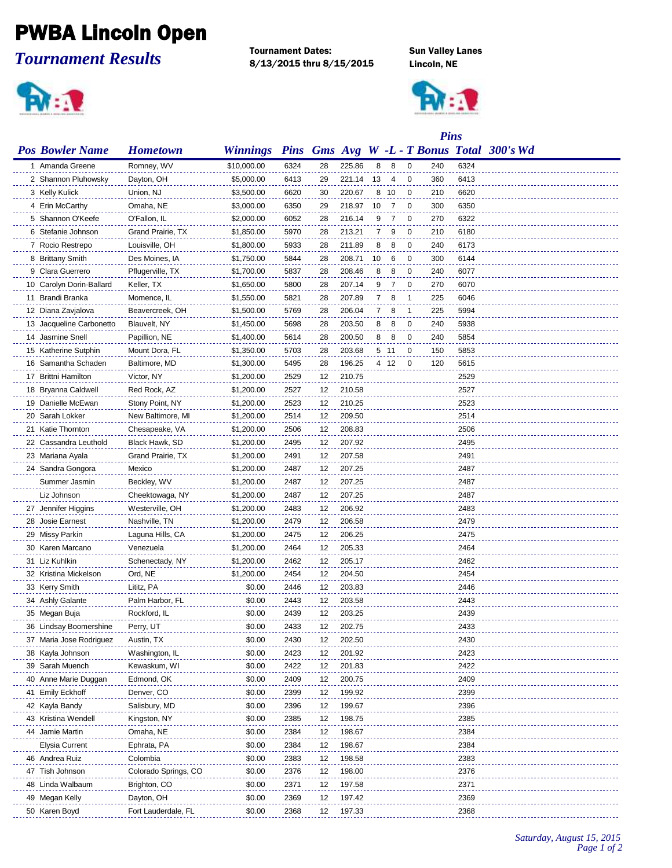## PWBA Lincoln Open

*Tournament Results*

**RIER** 

Tournament Dates: Sun Valley Lanes 8/13/2015 thru 8/15/2015 Lincoln, NE



|                          |                      |                 |      |    | <b>Pins</b> |    |      |                |     |      |                                            |
|--------------------------|----------------------|-----------------|------|----|-------------|----|------|----------------|-----|------|--------------------------------------------|
| <b>Pos Bowler Name</b>   | <b>Hometown</b>      | <b>Winnings</b> |      |    |             |    |      |                |     |      | Pins Gms Avg W -L - T Bonus Total 300's Wd |
| 1 Amanda Greene          | Romney, WV           | \$10,000.00     | 6324 | 28 | 225.86      | 8  | - 8  | $\overline{0}$ | 240 | 6324 |                                            |
| 2 Shannon Pluhowsky      | Dayton, OH           | \$5,000.00      | 6413 | 29 | 221.14      | 13 | 4    | 0              | 360 | 6413 |                                            |
| 3 Kelly Kulick           | Union, NJ            | \$3,500.00      | 6620 | 30 | 220.67      | 8  | -10  | 0              | 210 | 6620 |                                            |
| 4 Erin McCarthy          | Omaha, NE            | \$3,000.00      | 6350 | 29 | 218.97      | 10 | 7    | 0              | 300 | 6350 |                                            |
| 5 Shannon O'Keefe        | O'Fallon, IL         | \$2,000.00      | 6052 | 28 | 216.14      | 9  | 7    | 0              | 270 | 6322 |                                            |
| 6 Stefanie Johnson       | Grand Prairie, TX    | \$1,850.00      | 5970 | 28 | 213.21      | 7  | 9    | $\mathbf{0}$   | 210 | 6180 |                                            |
| 7 Rocio Restrepo         | Louisville, OH       | \$1,800.00      | 5933 | 28 | 211.89      | 8  | 8    | 0              | 240 | 6173 |                                            |
| 8 Brittany Smith         | Des Moines, IA       | \$1,750.00      | 5844 | 28 | 208.71      | 10 | 6    | 0              | 300 | 6144 |                                            |
| 9 Clara Guerrero         | Pflugerville, TX     | \$1,700.00      | 5837 | 28 | 208.46      | 8  | 8    | 0              | 240 | 6077 |                                            |
| 10 Carolyn Dorin-Ballard | Keller, TX           | \$1,650.00      | 5800 | 28 | 207.14      | 9  | 7    | $\mathbf{0}$   | 270 | 6070 |                                            |
| 11 Brandi Branka         | Momence, IL          | \$1,550.00      | 5821 | 28 | 207.89      | 7  | 8    | -1             | 225 | 6046 |                                            |
| 12 Diana Zavjalova       | Beavercreek, OH      | \$1,500.00      | 5769 | 28 | 206.04      | 7  | 8    | -1             | 225 | 5994 |                                            |
| 13 Jacqueline Carbonetto | Blauvelt, NY         | \$1,450.00      | 5698 | 28 | 203.50      | 8  | 8    | 0              | 240 | 5938 |                                            |
| 14 Jasmine Snell         | Papillion, NE        | \$1,400.00      | 5614 | 28 | 200.50      | 8  | 8    | 0              | 240 | 5854 |                                            |
| 15 Katherine Sutphin     | Mount Dora, FL       | \$1,350.00      | 5703 | 28 | 203.68      |    | 5 11 | 0              | 150 | 5853 |                                            |
| 16 Samantha Schaden      | Baltimore, MD        | \$1,300.00      | 5495 | 28 | 196.25      |    | 4 12 | 0              | 120 | 5615 |                                            |
| 17 Brittni Hamilton      | Victor, NY           | \$1,200.00      | 2529 | 12 | 210.75      |    |      |                |     | 2529 |                                            |
| 18 Bryanna Caldwell      | Red Rock, AZ         | \$1,200.00      | 2527 | 12 | 210.58      |    |      |                |     | 2527 |                                            |
| 19 Danielle McEwan       | Stony Point, NY      | \$1,200.00      | 2523 | 12 | 210.25      |    |      |                |     | 2523 |                                            |
| 20 Sarah Lokker          | New Baltimore, MI    | \$1,200.00      | 2514 | 12 | 209.50      |    |      |                |     | 2514 |                                            |
| 21 Katie Thornton        | Chesapeake, VA       | \$1,200.00      | 2506 | 12 | 208.83      |    |      |                |     | 2506 |                                            |
| 22 Cassandra Leuthold    | Black Hawk, SD       | \$1,200.00      | 2495 | 12 | 207.92      |    |      |                |     | 2495 |                                            |
| 23 Mariana Ayala         | Grand Prairie, TX    | \$1,200.00      | 2491 | 12 | 207.58      |    |      |                |     | 2491 |                                            |
| 24 Sandra Gongora        | Mexico               | \$1,200.00      | 2487 | 12 | 207.25      |    |      |                |     | 2487 |                                            |
| Summer Jasmin            | Beckley, WV          | \$1,200.00      | 2487 | 12 | 207.25      |    |      |                |     | 2487 |                                            |
| Liz Johnson              | Cheektowaga, NY      | \$1,200.00      | 2487 | 12 | 207.25      |    |      |                |     | 2487 |                                            |
| 27 Jennifer Higgins      | Westerville, OH      | \$1,200.00      | 2483 | 12 | 206.92      |    |      |                |     | 2483 |                                            |
| 28 Josie Earnest         | Nashville, TN        | \$1,200.00      | 2479 | 12 | 206.58      |    |      |                |     | 2479 |                                            |
| 29 Missy Parkin          | Laguna Hills, CA     | \$1,200.00      | 2475 | 12 | 206.25      |    |      |                |     | 2475 |                                            |
| 30 Karen Marcano         | Venezuela            | \$1,200.00      | 2464 | 12 | 205.33      |    |      |                |     | 2464 |                                            |
| 31 Liz Kuhlkin           | Schenectady, NY      | \$1,200.00      | 2462 | 12 | 205.17      |    |      |                |     | 2462 |                                            |
| 32 Kristina Mickelson    | Ord, NE              | \$1,200.00      | 2454 | 12 | 204.50      |    |      |                |     | 2454 |                                            |
| 33 Kerry Smith           | Lititz, PA           | \$0.00          | 2446 | 12 | 203.83      |    |      |                |     | 2446 |                                            |
| 34 Ashly Galante         | Palm Harbor, FL      | \$0.00          | 2443 | 12 | 203.58      |    |      |                |     | 2443 |                                            |
| 35 Megan Buja            | Rockford, IL         | \$0.00          | 2439 | 12 | 203.25      |    |      |                |     | 2439 |                                            |
| 36 Lindsay Boomershine   | Perry, UT            | \$0.00          | 2433 | 12 | 202.75      |    |      |                |     | 2433 |                                            |
| 37 Maria Jose Rodriguez  | Austin, TX           | \$0.00          | 2430 | 12 | 202.50      |    |      |                |     | 2430 |                                            |
| 38 Kayla Johnson         | Washington, IL       | \$0.00          | 2423 | 12 | 201.92      |    |      |                |     | 2423 |                                            |
| 39 Sarah Muench          | Kewaskum, WI         | \$0.00          | 2422 | 12 | 201.83      |    |      |                |     | 2422 |                                            |
| 40 Anne Marie Duggan     | Edmond, OK           | \$0.00          | 2409 | 12 | 200.75      |    |      |                |     | 2409 |                                            |
| 41 Emily Eckhoff         | Denver, CO           | \$0.00          | 2399 | 12 | 199.92      |    |      |                |     | 2399 |                                            |
| 42 Kayla Bandy           | Salisbury, MD        | \$0.00          | 2396 | 12 | 199.67      |    |      |                |     | 2396 |                                            |
| 43 Kristina Wendell      | Kingston, NY         | \$0.00          | 2385 | 12 | 198.75      |    |      |                |     | 2385 |                                            |
| 44 Jamie Martin          | Omaha, NE            | \$0.00          | 2384 | 12 | 198.67      |    |      |                |     | 2384 |                                            |
| Elysia Current           | Ephrata, PA          | \$0.00          | 2384 | 12 | 198.67      |    |      |                |     | 2384 |                                            |
| 46 Andrea Ruiz           | Colombia             | \$0.00          | 2383 | 12 | 198.58      |    |      |                |     | 2383 |                                            |
| 47 Tish Johnson          | Colorado Springs, CO | \$0.00          | 2376 | 12 | 198.00      |    |      |                |     | 2376 |                                            |
| 48 Linda Walbaum         | Brighton, CO         | \$0.00          | 2371 | 12 | 197.58      |    |      |                |     | 2371 |                                            |
| 49 Megan Kelly           | Dayton, OH           | \$0.00          | 2369 | 12 | 197.42      |    |      |                |     | 2369 |                                            |
| 50 Karen Boyd            | Fort Lauderdale, FL  | \$0.00          | 2368 | 12 | 197.33      |    |      |                |     | 2368 |                                            |

*Saturday, August 15, 2015 Page 1 of 2*